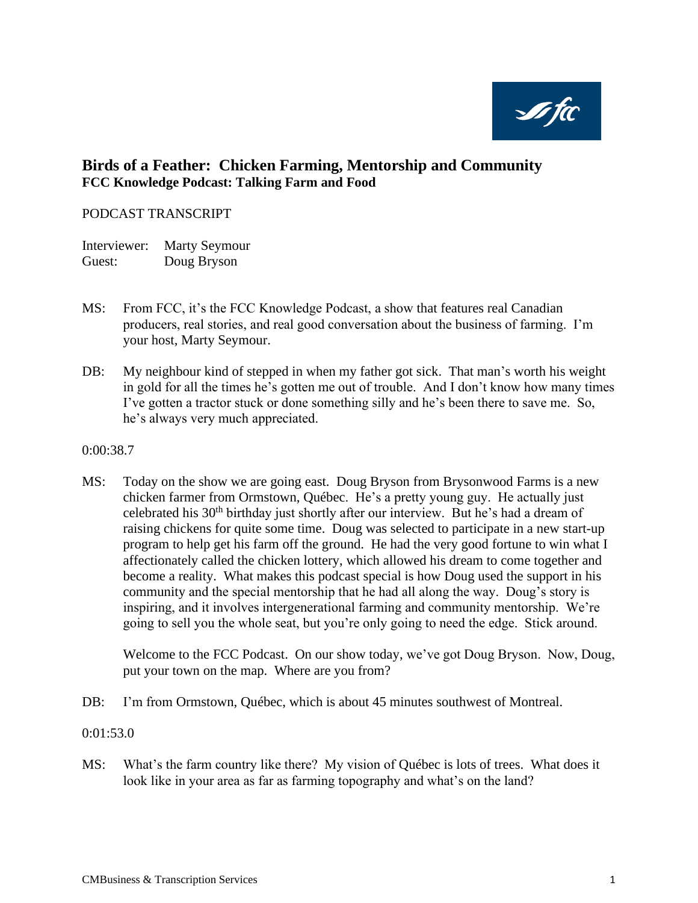**søfic** 

# **Birds of a Feather: Chicken Farming, Mentorship and Community FCC Knowledge Podcast: Talking Farm and Food**

### PODCAST TRANSCRIPT

Interviewer: Marty Seymour Guest: Doug Bryson

- MS: From FCC, it's the FCC Knowledge Podcast, a show that features real Canadian producers, real stories, and real good conversation about the business of farming. I'm your host, Marty Seymour.
- DB: My neighbour kind of stepped in when my father got sick. That man's worth his weight in gold for all the times he's gotten me out of trouble. And I don't know how many times I've gotten a tractor stuck or done something silly and he's been there to save me. So, he's always very much appreciated.

#### 0:00:38.7

MS: Today on the show we are going east. Doug Bryson from Brysonwood Farms is a new chicken farmer from Ormstown, Québec. He's a pretty young guy. He actually just celebrated his 30<sup>th</sup> birthday just shortly after our interview. But he's had a dream of raising chickens for quite some time. Doug was selected to participate in a new start-up program to help get his farm off the ground. He had the very good fortune to win what I affectionately called the chicken lottery, which allowed his dream to come together and become a reality. What makes this podcast special is how Doug used the support in his community and the special mentorship that he had all along the way. Doug's story is inspiring, and it involves intergenerational farming and community mentorship. We're going to sell you the whole seat, but you're only going to need the edge. Stick around.

Welcome to the FCC Podcast. On our show today, we've got Doug Bryson. Now, Doug, put your town on the map. Where are you from?

DB: I'm from Ormstown, Québec, which is about 45 minutes southwest of Montreal.

0:01:53.0

MS: What's the farm country like there? My vision of Québec is lots of trees. What does it look like in your area as far as farming topography and what's on the land?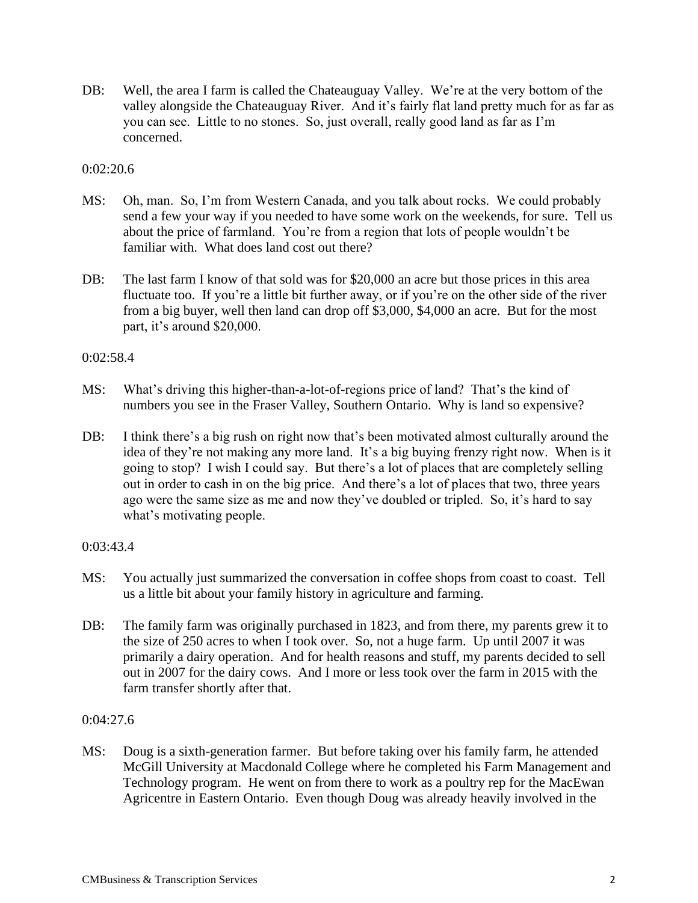DB: Well, the area I farm is called the Chateauguay Valley. We're at the very bottom of the valley alongside the Chateauguay River. And it's fairly flat land pretty much for as far as you can see. Little to no stones. So, just overall, really good land as far as I'm concerned.

### 0:02:20.6

- MS: Oh, man. So, I'm from Western Canada, and you talk about rocks. We could probably send a few your way if you needed to have some work on the weekends, for sure. Tell us about the price of farmland. You're from a region that lots of people wouldn't be familiar with. What does land cost out there?
- DB: The last farm I know of that sold was for \$20,000 an acre but those prices in this area fluctuate too. If you're a little bit further away, or if you're on the other side of the river from a big buyer, well then land can drop off \$3,000, \$4,000 an acre. But for the most part, it's around \$20,000.

### 0:02:58.4

- MS: What's driving this higher-than-a-lot-of-regions price of land? That's the kind of numbers you see in the Fraser Valley, Southern Ontario. Why is land so expensive?
- DB: I think there's a big rush on right now that's been motivated almost culturally around the idea of they're not making any more land. It's a big buying frenzy right now. When is it going to stop? I wish I could say. But there's a lot of places that are completely selling out in order to cash in on the big price. And there's a lot of places that two, three years ago were the same size as me and now they've doubled or tripled. So, it's hard to say what's motivating people.

### 0:03:43.4

- MS: You actually just summarized the conversation in coffee shops from coast to coast. Tell us a little bit about your family history in agriculture and farming.
- DB: The family farm was originally purchased in 1823, and from there, my parents grew it to the size of 250 acres to when I took over. So, not a huge farm. Up until 2007 it was primarily a dairy operation. And for health reasons and stuff, my parents decided to sell out in 2007 for the dairy cows. And I more or less took over the farm in 2015 with the farm transfer shortly after that.

### 0:04:27.6

MS: Doug is a sixth-generation farmer. But before taking over his family farm, he attended McGill University at Macdonald College where he completed his Farm Management and Technology program. He went on from there to work as a poultry rep for the MacEwan Agricentre in Eastern Ontario. Even though Doug was already heavily involved in the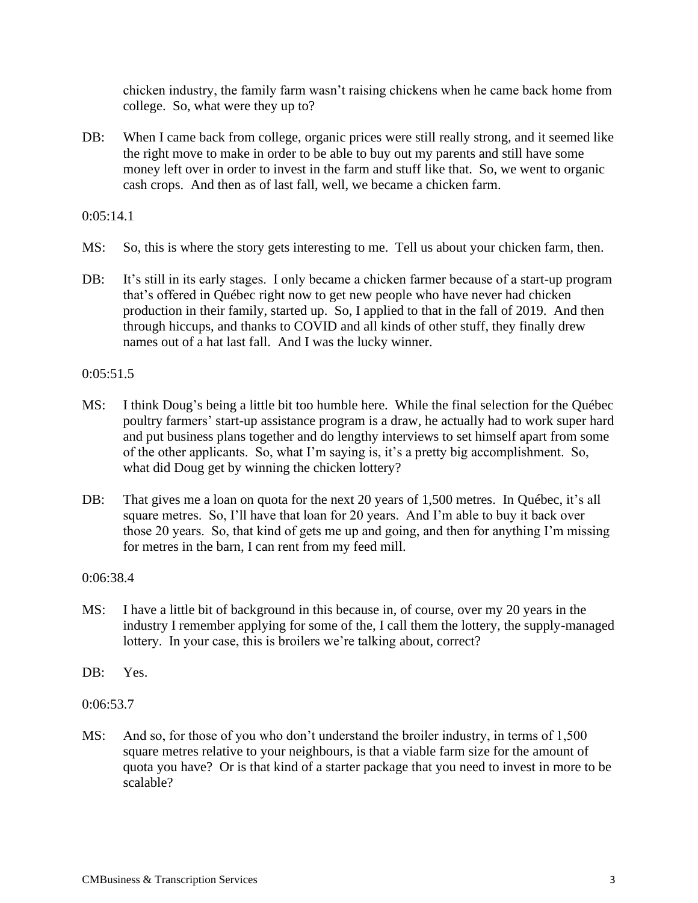chicken industry, the family farm wasn't raising chickens when he came back home from college. So, what were they up to?

DB: When I came back from college, organic prices were still really strong, and it seemed like the right move to make in order to be able to buy out my parents and still have some money left over in order to invest in the farm and stuff like that. So, we went to organic cash crops. And then as of last fall, well, we became a chicken farm.

 $0:05:14.1$ 

- MS: So, this is where the story gets interesting to me. Tell us about your chicken farm, then.
- DB: It's still in its early stages. I only became a chicken farmer because of a start-up program that's offered in Québec right now to get new people who have never had chicken production in their family, started up. So, I applied to that in the fall of 2019. And then through hiccups, and thanks to COVID and all kinds of other stuff, they finally drew names out of a hat last fall. And I was the lucky winner.

#### 0:05:51.5

- MS: I think Doug's being a little bit too humble here. While the final selection for the Québec poultry farmers' start-up assistance program is a draw, he actually had to work super hard and put business plans together and do lengthy interviews to set himself apart from some of the other applicants. So, what I'm saying is, it's a pretty big accomplishment. So, what did Doug get by winning the chicken lottery?
- DB: That gives me a loan on quota for the next 20 years of 1,500 metres. In Québec, it's all square metres. So, I'll have that loan for 20 years. And I'm able to buy it back over those 20 years. So, that kind of gets me up and going, and then for anything I'm missing for metres in the barn, I can rent from my feed mill.

### 0:06:38.4

- MS: I have a little bit of background in this because in, of course, over my 20 years in the industry I remember applying for some of the, I call them the lottery, the supply-managed lottery. In your case, this is broilers we're talking about, correct?
- DB: Yes.
- 0:06:53.7
- MS: And so, for those of you who don't understand the broiler industry, in terms of 1,500 square metres relative to your neighbours, is that a viable farm size for the amount of quota you have? Or is that kind of a starter package that you need to invest in more to be scalable?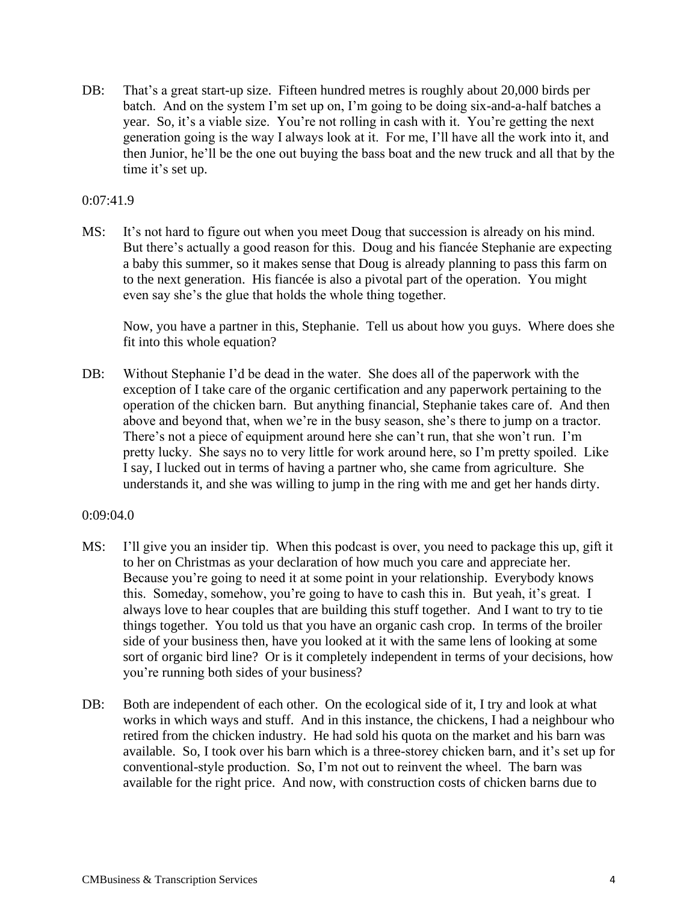DB: That's a great start-up size. Fifteen hundred metres is roughly about 20,000 birds per batch. And on the system I'm set up on, I'm going to be doing six-and-a-half batches a year. So, it's a viable size. You're not rolling in cash with it. You're getting the next generation going is the way I always look at it. For me, I'll have all the work into it, and then Junior, he'll be the one out buying the bass boat and the new truck and all that by the time it's set up.

### 0:07:41.9

MS: It's not hard to figure out when you meet Doug that succession is already on his mind. But there's actually a good reason for this. Doug and his fiancée Stephanie are expecting a baby this summer, so it makes sense that Doug is already planning to pass this farm on to the next generation. His fiancée is also a pivotal part of the operation. You might even say she's the glue that holds the whole thing together.

Now, you have a partner in this, Stephanie. Tell us about how you guys. Where does she fit into this whole equation?

DB: Without Stephanie I'd be dead in the water. She does all of the paperwork with the exception of I take care of the organic certification and any paperwork pertaining to the operation of the chicken barn. But anything financial, Stephanie takes care of. And then above and beyond that, when we're in the busy season, she's there to jump on a tractor. There's not a piece of equipment around here she can't run, that she won't run. I'm pretty lucky. She says no to very little for work around here, so I'm pretty spoiled. Like I say, I lucked out in terms of having a partner who, she came from agriculture. She understands it, and she was willing to jump in the ring with me and get her hands dirty.

#### 0:09:04.0

- MS: I'll give you an insider tip. When this podcast is over, you need to package this up, gift it to her on Christmas as your declaration of how much you care and appreciate her. Because you're going to need it at some point in your relationship. Everybody knows this. Someday, somehow, you're going to have to cash this in. But yeah, it's great. I always love to hear couples that are building this stuff together. And I want to try to tie things together. You told us that you have an organic cash crop. In terms of the broiler side of your business then, have you looked at it with the same lens of looking at some sort of organic bird line? Or is it completely independent in terms of your decisions, how you're running both sides of your business?
- DB: Both are independent of each other. On the ecological side of it, I try and look at what works in which ways and stuff. And in this instance, the chickens, I had a neighbour who retired from the chicken industry. He had sold his quota on the market and his barn was available. So, I took over his barn which is a three-storey chicken barn, and it's set up for conventional-style production. So, I'm not out to reinvent the wheel. The barn was available for the right price. And now, with construction costs of chicken barns due to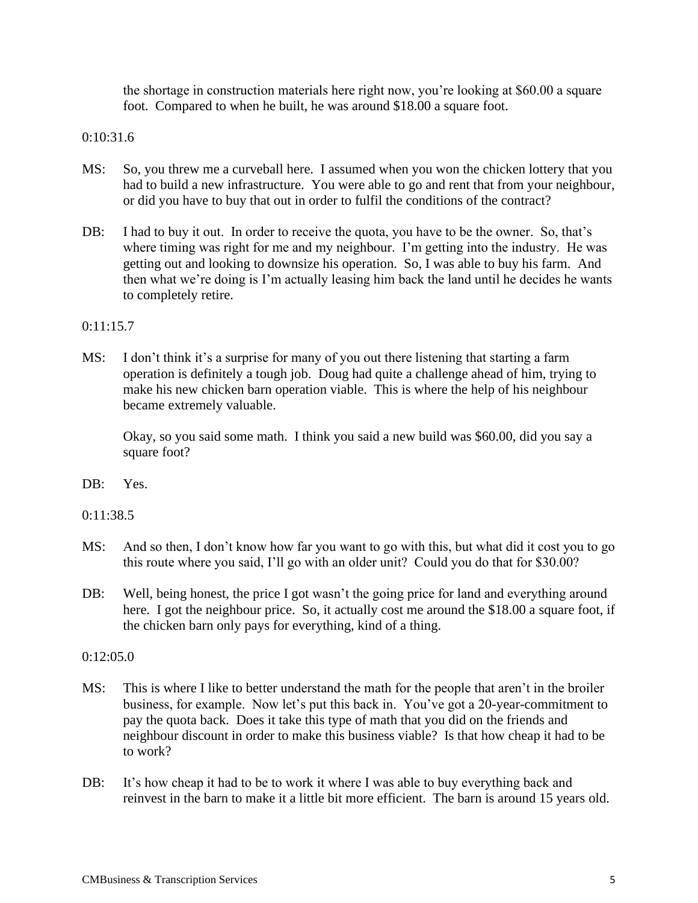the shortage in construction materials here right now, you're looking at \$60.00 a square foot. Compared to when he built, he was around \$18.00 a square foot.

## 0:10:31.6

- MS: So, you threw me a curveball here. I assumed when you won the chicken lottery that you had to build a new infrastructure. You were able to go and rent that from your neighbour, or did you have to buy that out in order to fulfil the conditions of the contract?
- DB: I had to buy it out. In order to receive the quota, you have to be the owner. So, that's where timing was right for me and my neighbour. I'm getting into the industry. He was getting out and looking to downsize his operation. So, I was able to buy his farm. And then what we're doing is I'm actually leasing him back the land until he decides he wants to completely retire.

### 0:11:15.7

MS: I don't think it's a surprise for many of you out there listening that starting a farm operation is definitely a tough job. Doug had quite a challenge ahead of him, trying to make his new chicken barn operation viable. This is where the help of his neighbour became extremely valuable.

Okay, so you said some math. I think you said a new build was \$60.00, did you say a square foot?

DB: Yes.

0:11:38.5

- MS: And so then, I don't know how far you want to go with this, but what did it cost you to go this route where you said, I'll go with an older unit? Could you do that for \$30.00?
- DB: Well, being honest, the price I got wasn't the going price for land and everything around here. I got the neighbour price. So, it actually cost me around the \$18.00 a square foot, if the chicken barn only pays for everything, kind of a thing.

 $0:12:05.0$ 

- MS: This is where I like to better understand the math for the people that aren't in the broiler business, for example. Now let's put this back in. You've got a 20-year-commitment to pay the quota back. Does it take this type of math that you did on the friends and neighbour discount in order to make this business viable? Is that how cheap it had to be to work?
- DB: It's how cheap it had to be to work it where I was able to buy everything back and reinvest in the barn to make it a little bit more efficient. The barn is around 15 years old.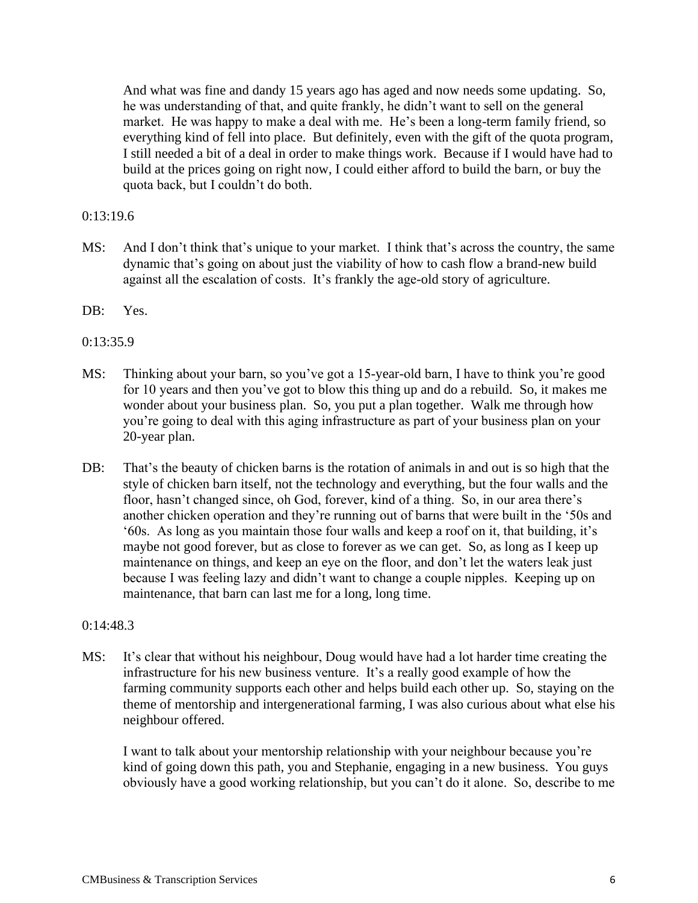And what was fine and dandy 15 years ago has aged and now needs some updating. So, he was understanding of that, and quite frankly, he didn't want to sell on the general market. He was happy to make a deal with me. He's been a long-term family friend, so everything kind of fell into place. But definitely, even with the gift of the quota program, I still needed a bit of a deal in order to make things work. Because if I would have had to build at the prices going on right now, I could either afford to build the barn, or buy the quota back, but I couldn't do both.

### 0:13:19.6

- MS: And I don't think that's unique to your market. I think that's across the country, the same dynamic that's going on about just the viability of how to cash flow a brand-new build against all the escalation of costs. It's frankly the age-old story of agriculture.
- DB: Yes.
- 0:13:35.9
- MS: Thinking about your barn, so you've got a 15-year-old barn, I have to think you're good for 10 years and then you've got to blow this thing up and do a rebuild. So, it makes me wonder about your business plan. So, you put a plan together. Walk me through how you're going to deal with this aging infrastructure as part of your business plan on your 20-year plan.
- DB: That's the beauty of chicken barns is the rotation of animals in and out is so high that the style of chicken barn itself, not the technology and everything, but the four walls and the floor, hasn't changed since, oh God, forever, kind of a thing. So, in our area there's another chicken operation and they're running out of barns that were built in the '50s and '60s. As long as you maintain those four walls and keep a roof on it, that building, it's maybe not good forever, but as close to forever as we can get. So, as long as I keep up maintenance on things, and keep an eye on the floor, and don't let the waters leak just because I was feeling lazy and didn't want to change a couple nipples. Keeping up on maintenance, that barn can last me for a long, long time.

#### 0:14:48.3

MS: It's clear that without his neighbour, Doug would have had a lot harder time creating the infrastructure for his new business venture. It's a really good example of how the farming community supports each other and helps build each other up. So, staying on the theme of mentorship and intergenerational farming, I was also curious about what else his neighbour offered.

I want to talk about your mentorship relationship with your neighbour because you're kind of going down this path, you and Stephanie, engaging in a new business. You guys obviously have a good working relationship, but you can't do it alone. So, describe to me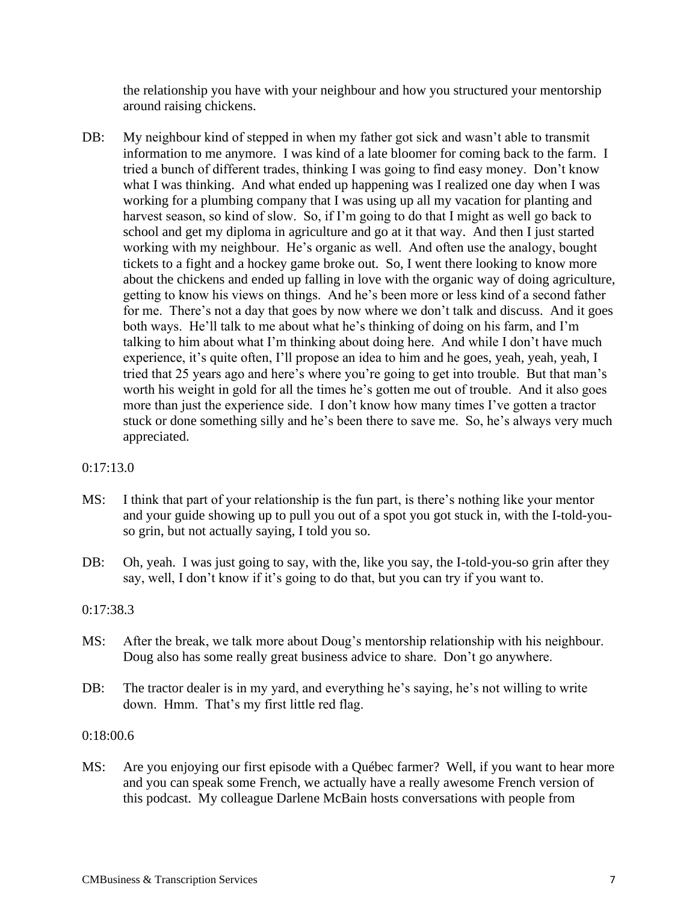the relationship you have with your neighbour and how you structured your mentorship around raising chickens.

DB: My neighbour kind of stepped in when my father got sick and wasn't able to transmit information to me anymore. I was kind of a late bloomer for coming back to the farm. I tried a bunch of different trades, thinking I was going to find easy money. Don't know what I was thinking. And what ended up happening was I realized one day when I was working for a plumbing company that I was using up all my vacation for planting and harvest season, so kind of slow. So, if I'm going to do that I might as well go back to school and get my diploma in agriculture and go at it that way. And then I just started working with my neighbour. He's organic as well. And often use the analogy, bought tickets to a fight and a hockey game broke out. So, I went there looking to know more about the chickens and ended up falling in love with the organic way of doing agriculture, getting to know his views on things. And he's been more or less kind of a second father for me. There's not a day that goes by now where we don't talk and discuss. And it goes both ways. He'll talk to me about what he's thinking of doing on his farm, and I'm talking to him about what I'm thinking about doing here. And while I don't have much experience, it's quite often, I'll propose an idea to him and he goes, yeah, yeah, yeah, I tried that 25 years ago and here's where you're going to get into trouble. But that man's worth his weight in gold for all the times he's gotten me out of trouble. And it also goes more than just the experience side. I don't know how many times I've gotten a tractor stuck or done something silly and he's been there to save me. So, he's always very much appreciated.

## 0:17:13.0

- MS: I think that part of your relationship is the fun part, is there's nothing like your mentor and your guide showing up to pull you out of a spot you got stuck in, with the I-told-youso grin, but not actually saying, I told you so.
- DB: Oh, yeah. I was just going to say, with the, like you say, the I-told-you-so grin after they say, well, I don't know if it's going to do that, but you can try if you want to.

### 0:17:38.3

- MS: After the break, we talk more about Doug's mentorship relationship with his neighbour. Doug also has some really great business advice to share. Don't go anywhere.
- DB: The tractor dealer is in my yard, and everything he's saying, he's not willing to write down. Hmm. That's my first little red flag.

### 0:18:00.6

MS: Are you enjoying our first episode with a Québec farmer? Well, if you want to hear more and you can speak some French, we actually have a really awesome French version of this podcast. My colleague Darlene McBain hosts conversations with people from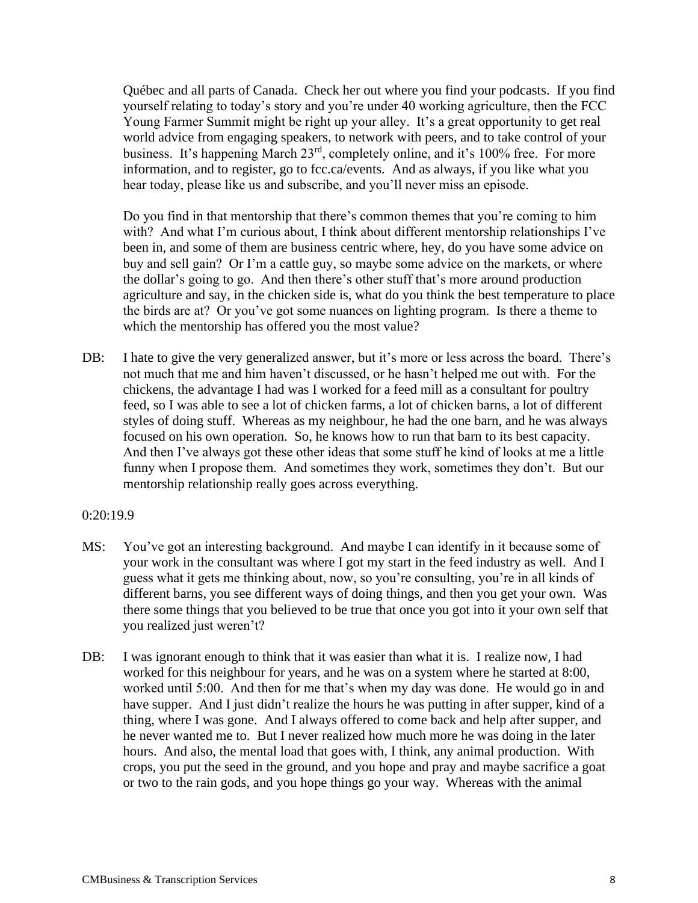Québec and all parts of Canada. Check her out where you find your podcasts. If you find yourself relating to today's story and you're under 40 working agriculture, then the FCC Young Farmer Summit might be right up your alley. It's a great opportunity to get real world advice from engaging speakers, to network with peers, and to take control of your business. It's happening March 23rd, completely online, and it's 100% free. For more information, and to register, go to fcc.ca/events. And as always, if you like what you hear today, please like us and subscribe, and you'll never miss an episode.

Do you find in that mentorship that there's common themes that you're coming to him with? And what I'm curious about, I think about different mentorship relationships I've been in, and some of them are business centric where, hey, do you have some advice on buy and sell gain? Or I'm a cattle guy, so maybe some advice on the markets, or where the dollar's going to go. And then there's other stuff that's more around production agriculture and say, in the chicken side is, what do you think the best temperature to place the birds are at? Or you've got some nuances on lighting program. Is there a theme to which the mentorship has offered you the most value?

DB: I hate to give the very generalized answer, but it's more or less across the board. There's not much that me and him haven't discussed, or he hasn't helped me out with. For the chickens, the advantage I had was I worked for a feed mill as a consultant for poultry feed, so I was able to see a lot of chicken farms, a lot of chicken barns, a lot of different styles of doing stuff. Whereas as my neighbour, he had the one barn, and he was always focused on his own operation. So, he knows how to run that barn to its best capacity. And then I've always got these other ideas that some stuff he kind of looks at me a little funny when I propose them. And sometimes they work, sometimes they don't. But our mentorship relationship really goes across everything.

#### 0:20:19.9

- MS: You've got an interesting background. And maybe I can identify in it because some of your work in the consultant was where I got my start in the feed industry as well. And I guess what it gets me thinking about, now, so you're consulting, you're in all kinds of different barns, you see different ways of doing things, and then you get your own. Was there some things that you believed to be true that once you got into it your own self that you realized just weren't?
- DB: I was ignorant enough to think that it was easier than what it is. I realize now, I had worked for this neighbour for years, and he was on a system where he started at 8:00, worked until 5:00. And then for me that's when my day was done. He would go in and have supper. And I just didn't realize the hours he was putting in after supper, kind of a thing, where I was gone. And I always offered to come back and help after supper, and he never wanted me to. But I never realized how much more he was doing in the later hours. And also, the mental load that goes with, I think, any animal production. With crops, you put the seed in the ground, and you hope and pray and maybe sacrifice a goat or two to the rain gods, and you hope things go your way. Whereas with the animal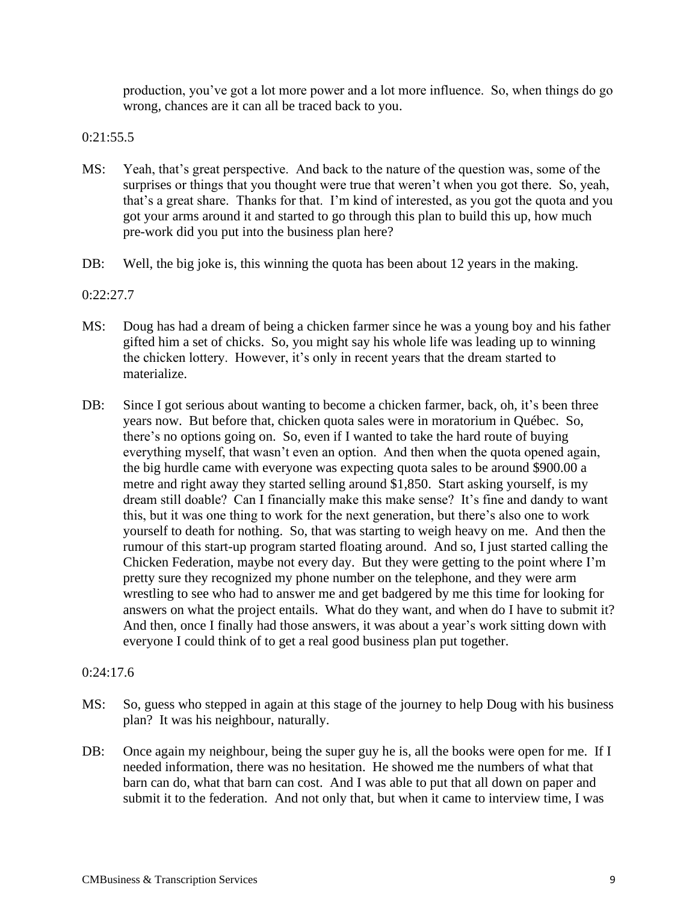production, you've got a lot more power and a lot more influence. So, when things do go wrong, chances are it can all be traced back to you.

## 0:21:55.5

- MS: Yeah, that's great perspective. And back to the nature of the question was, some of the surprises or things that you thought were true that weren't when you got there. So, yeah, that's a great share. Thanks for that. I'm kind of interested, as you got the quota and you got your arms around it and started to go through this plan to build this up, how much pre-work did you put into the business plan here?
- DB: Well, the big joke is, this winning the quota has been about 12 years in the making.

## 0:22:27.7

- MS: Doug has had a dream of being a chicken farmer since he was a young boy and his father gifted him a set of chicks. So, you might say his whole life was leading up to winning the chicken lottery. However, it's only in recent years that the dream started to materialize.
- DB: Since I got serious about wanting to become a chicken farmer, back, oh, it's been three years now. But before that, chicken quota sales were in moratorium in Québec. So, there's no options going on. So, even if I wanted to take the hard route of buying everything myself, that wasn't even an option. And then when the quota opened again, the big hurdle came with everyone was expecting quota sales to be around \$900.00 a metre and right away they started selling around \$1,850. Start asking yourself, is my dream still doable? Can I financially make this make sense? It's fine and dandy to want this, but it was one thing to work for the next generation, but there's also one to work yourself to death for nothing. So, that was starting to weigh heavy on me. And then the rumour of this start-up program started floating around. And so, I just started calling the Chicken Federation, maybe not every day. But they were getting to the point where I'm pretty sure they recognized my phone number on the telephone, and they were arm wrestling to see who had to answer me and get badgered by me this time for looking for answers on what the project entails. What do they want, and when do I have to submit it? And then, once I finally had those answers, it was about a year's work sitting down with everyone I could think of to get a real good business plan put together.

### 0:24:17.6

- MS: So, guess who stepped in again at this stage of the journey to help Doug with his business plan? It was his neighbour, naturally.
- DB: Once again my neighbour, being the super guy he is, all the books were open for me. If I needed information, there was no hesitation. He showed me the numbers of what that barn can do, what that barn can cost. And I was able to put that all down on paper and submit it to the federation. And not only that, but when it came to interview time, I was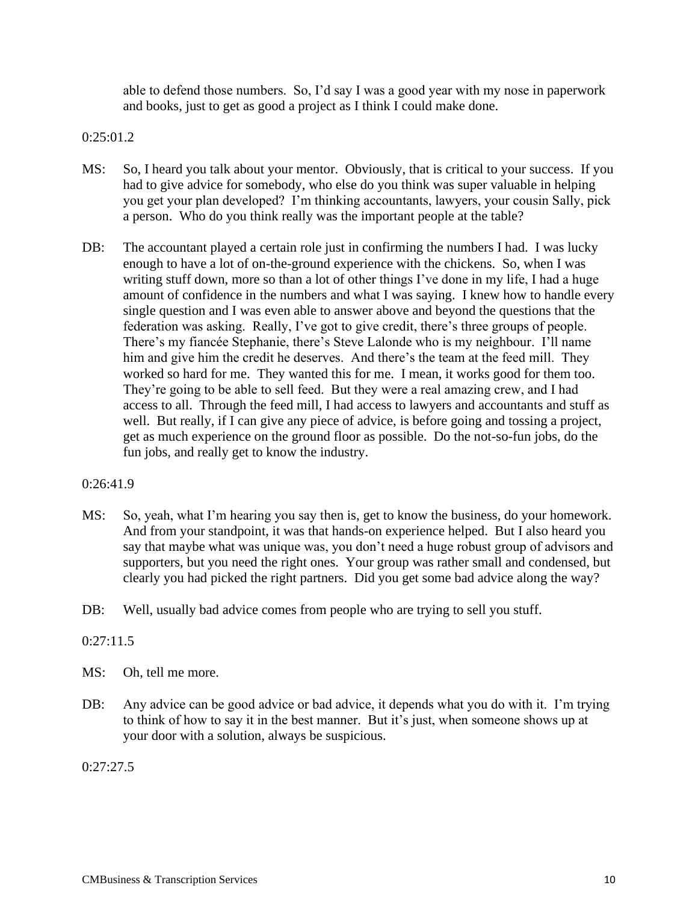able to defend those numbers. So, I'd say I was a good year with my nose in paperwork and books, just to get as good a project as I think I could make done.

0:25:01.2

- MS: So, I heard you talk about your mentor. Obviously, that is critical to your success. If you had to give advice for somebody, who else do you think was super valuable in helping you get your plan developed? I'm thinking accountants, lawyers, your cousin Sally, pick a person. Who do you think really was the important people at the table?
- DB: The accountant played a certain role just in confirming the numbers I had. I was lucky enough to have a lot of on-the-ground experience with the chickens. So, when I was writing stuff down, more so than a lot of other things I've done in my life, I had a huge amount of confidence in the numbers and what I was saying. I knew how to handle every single question and I was even able to answer above and beyond the questions that the federation was asking. Really, I've got to give credit, there's three groups of people. There's my fiancée Stephanie, there's Steve Lalonde who is my neighbour. I'll name him and give him the credit he deserves. And there's the team at the feed mill. They worked so hard for me. They wanted this for me. I mean, it works good for them too. They're going to be able to sell feed. But they were a real amazing crew, and I had access to all. Through the feed mill, I had access to lawyers and accountants and stuff as well. But really, if I can give any piece of advice, is before going and tossing a project, get as much experience on the ground floor as possible. Do the not-so-fun jobs, do the fun jobs, and really get to know the industry.

### 0:26:41.9

- MS: So, yeah, what I'm hearing you say then is, get to know the business, do your homework. And from your standpoint, it was that hands-on experience helped. But I also heard you say that maybe what was unique was, you don't need a huge robust group of advisors and supporters, but you need the right ones. Your group was rather small and condensed, but clearly you had picked the right partners. Did you get some bad advice along the way?
- DB: Well, usually bad advice comes from people who are trying to sell you stuff.

### 0:27:11.5

- MS: Oh, tell me more.
- DB: Any advice can be good advice or bad advice, it depends what you do with it. I'm trying to think of how to say it in the best manner. But it's just, when someone shows up at your door with a solution, always be suspicious.

0:27:27.5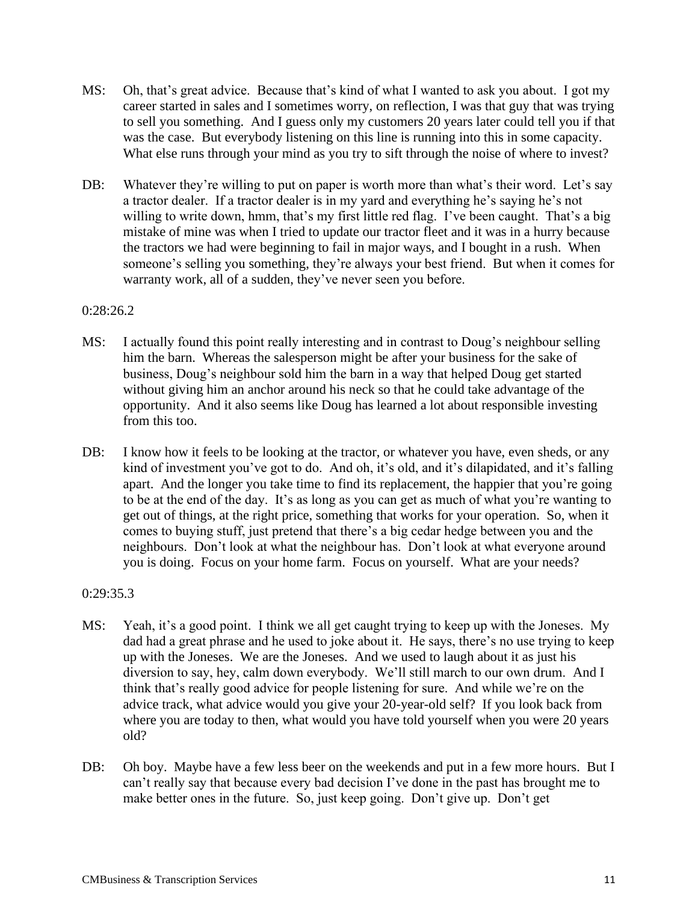- MS: Oh, that's great advice. Because that's kind of what I wanted to ask you about. I got my career started in sales and I sometimes worry, on reflection, I was that guy that was trying to sell you something. And I guess only my customers 20 years later could tell you if that was the case. But everybody listening on this line is running into this in some capacity. What else runs through your mind as you try to sift through the noise of where to invest?
- DB: Whatever they're willing to put on paper is worth more than what's their word. Let's say a tractor dealer. If a tractor dealer is in my yard and everything he's saying he's not willing to write down, hmm, that's my first little red flag. I've been caught. That's a big mistake of mine was when I tried to update our tractor fleet and it was in a hurry because the tractors we had were beginning to fail in major ways, and I bought in a rush. When someone's selling you something, they're always your best friend. But when it comes for warranty work, all of a sudden, they've never seen you before.

## 0:28:26.2

- MS: I actually found this point really interesting and in contrast to Doug's neighbour selling him the barn. Whereas the salesperson might be after your business for the sake of business, Doug's neighbour sold him the barn in a way that helped Doug get started without giving him an anchor around his neck so that he could take advantage of the opportunity. And it also seems like Doug has learned a lot about responsible investing from this too.
- DB: I know how it feels to be looking at the tractor, or whatever you have, even sheds, or any kind of investment you've got to do. And oh, it's old, and it's dilapidated, and it's falling apart. And the longer you take time to find its replacement, the happier that you're going to be at the end of the day. It's as long as you can get as much of what you're wanting to get out of things, at the right price, something that works for your operation. So, when it comes to buying stuff, just pretend that there's a big cedar hedge between you and the neighbours. Don't look at what the neighbour has. Don't look at what everyone around you is doing. Focus on your home farm. Focus on yourself. What are your needs?

### 0:29:35.3

- MS: Yeah, it's a good point. I think we all get caught trying to keep up with the Joneses. My dad had a great phrase and he used to joke about it. He says, there's no use trying to keep up with the Joneses. We are the Joneses. And we used to laugh about it as just his diversion to say, hey, calm down everybody. We'll still march to our own drum. And I think that's really good advice for people listening for sure. And while we're on the advice track, what advice would you give your 20-year-old self? If you look back from where you are today to then, what would you have told yourself when you were 20 years old?
- DB: Oh boy. Maybe have a few less beer on the weekends and put in a few more hours. But I can't really say that because every bad decision I've done in the past has brought me to make better ones in the future. So, just keep going. Don't give up. Don't get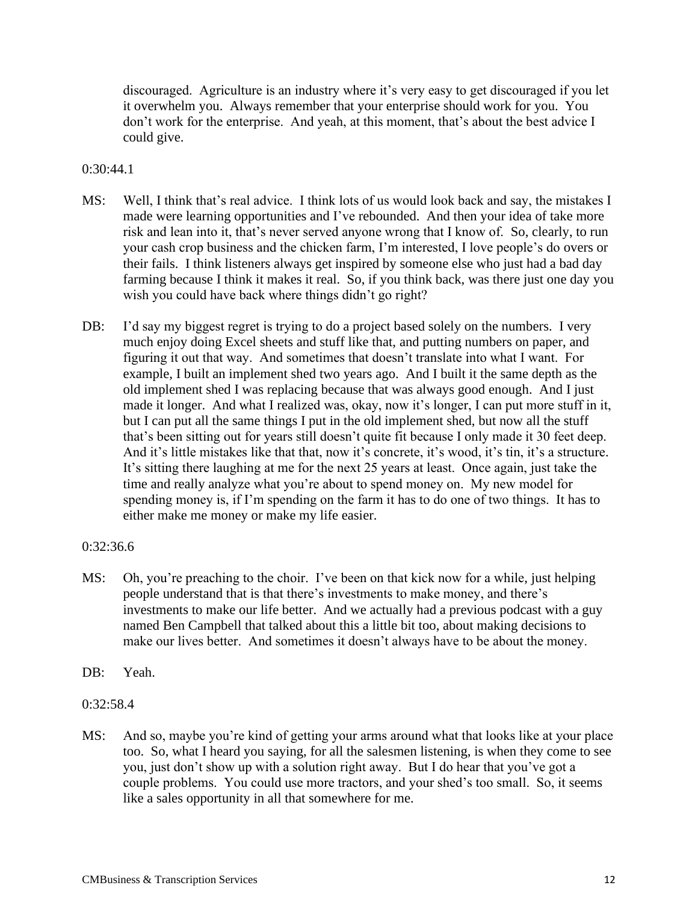discouraged. Agriculture is an industry where it's very easy to get discouraged if you let it overwhelm you. Always remember that your enterprise should work for you. You don't work for the enterprise. And yeah, at this moment, that's about the best advice I could give.

### 0:30:44.1

- MS: Well, I think that's real advice. I think lots of us would look back and say, the mistakes I made were learning opportunities and I've rebounded. And then your idea of take more risk and lean into it, that's never served anyone wrong that I know of. So, clearly, to run your cash crop business and the chicken farm, I'm interested, I love people's do overs or their fails. I think listeners always get inspired by someone else who just had a bad day farming because I think it makes it real. So, if you think back, was there just one day you wish you could have back where things didn't go right?
- DB: I'd say my biggest regret is trying to do a project based solely on the numbers. I very much enjoy doing Excel sheets and stuff like that, and putting numbers on paper, and figuring it out that way. And sometimes that doesn't translate into what I want. For example, I built an implement shed two years ago. And I built it the same depth as the old implement shed I was replacing because that was always good enough. And I just made it longer. And what I realized was, okay, now it's longer, I can put more stuff in it, but I can put all the same things I put in the old implement shed, but now all the stuff that's been sitting out for years still doesn't quite fit because I only made it 30 feet deep. And it's little mistakes like that that, now it's concrete, it's wood, it's tin, it's a structure. It's sitting there laughing at me for the next 25 years at least. Once again, just take the time and really analyze what you're about to spend money on. My new model for spending money is, if I'm spending on the farm it has to do one of two things. It has to either make me money or make my life easier.

### 0:32:36.6

- MS: Oh, you're preaching to the choir. I've been on that kick now for a while, just helping people understand that is that there's investments to make money, and there's investments to make our life better. And we actually had a previous podcast with a guy named Ben Campbell that talked about this a little bit too, about making decisions to make our lives better. And sometimes it doesn't always have to be about the money.
- DB: Yeah.
- 0:32:58.4
- MS: And so, maybe you're kind of getting your arms around what that looks like at your place too. So, what I heard you saying, for all the salesmen listening, is when they come to see you, just don't show up with a solution right away. But I do hear that you've got a couple problems. You could use more tractors, and your shed's too small. So, it seems like a sales opportunity in all that somewhere for me.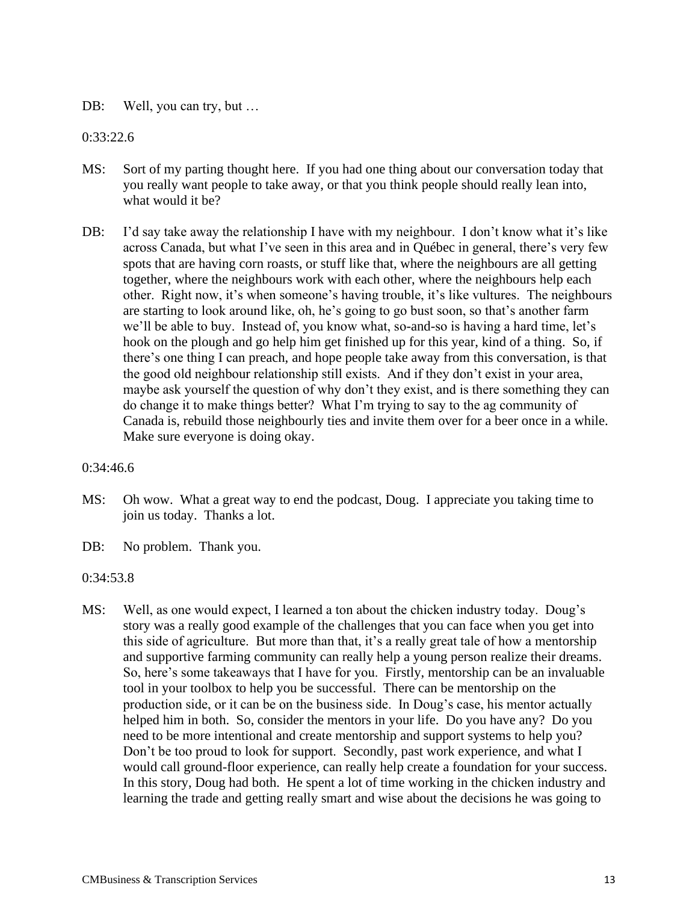DB: Well, you can try, but ...

### 0:33:22.6

- MS: Sort of my parting thought here. If you had one thing about our conversation today that you really want people to take away, or that you think people should really lean into, what would it be?
- DB: I'd say take away the relationship I have with my neighbour. I don't know what it's like across Canada, but what I've seen in this area and in Québec in general, there's very few spots that are having corn roasts, or stuff like that, where the neighbours are all getting together, where the neighbours work with each other, where the neighbours help each other. Right now, it's when someone's having trouble, it's like vultures. The neighbours are starting to look around like, oh, he's going to go bust soon, so that's another farm we'll be able to buy. Instead of, you know what, so-and-so is having a hard time, let's hook on the plough and go help him get finished up for this year, kind of a thing. So, if there's one thing I can preach, and hope people take away from this conversation, is that the good old neighbour relationship still exists. And if they don't exist in your area, maybe ask yourself the question of why don't they exist, and is there something they can do change it to make things better? What I'm trying to say to the ag community of Canada is, rebuild those neighbourly ties and invite them over for a beer once in a while. Make sure everyone is doing okay.

### 0:34:46.6

- MS: Oh wow. What a great way to end the podcast, Doug. I appreciate you taking time to join us today. Thanks a lot.
- DB: No problem. Thank you.

### 0:34:53.8

MS: Well, as one would expect, I learned a ton about the chicken industry today. Doug's story was a really good example of the challenges that you can face when you get into this side of agriculture. But more than that, it's a really great tale of how a mentorship and supportive farming community can really help a young person realize their dreams. So, here's some takeaways that I have for you. Firstly, mentorship can be an invaluable tool in your toolbox to help you be successful. There can be mentorship on the production side, or it can be on the business side. In Doug's case, his mentor actually helped him in both. So, consider the mentors in your life. Do you have any? Do you need to be more intentional and create mentorship and support systems to help you? Don't be too proud to look for support. Secondly, past work experience, and what I would call ground-floor experience, can really help create a foundation for your success. In this story, Doug had both. He spent a lot of time working in the chicken industry and learning the trade and getting really smart and wise about the decisions he was going to